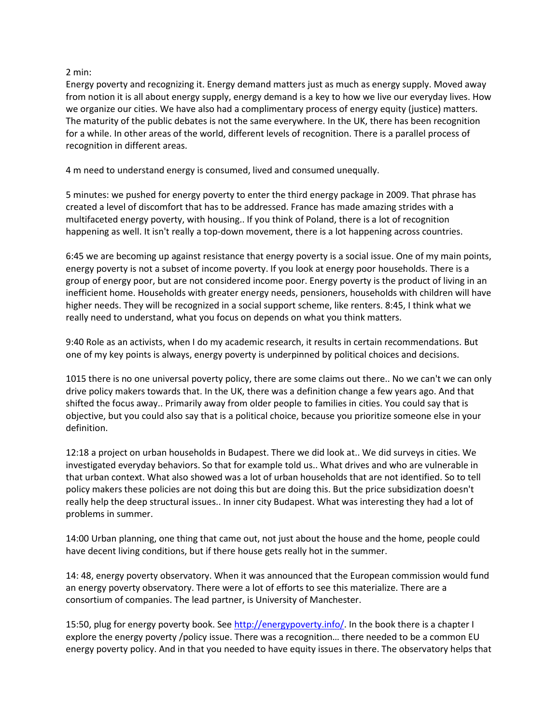## 2 min:

Energy poverty and recognizing it. Energy demand matters just as much as energy supply. Moved away from notion it is all about energy supply, energy demand is a key to how we live our everyday lives. How we organize our cities. We have also had a complimentary process of energy equity (justice) matters. The maturity of the public debates is not the same everywhere. In the UK, there has been recognition for a while. In other areas of the world, different levels of recognition. There is a parallel process of recognition in different areas.

4 m need to understand energy is consumed, lived and consumed unequally.

5 minutes: we pushed for energy poverty to enter the third energy package in 2009. That phrase has created a level of discomfort that has to be addressed. France has made amazing strides with a multifaceted energy poverty, with housing.. If you think of Poland, there is a lot of recognition happening as well. It isn't really a top-down movement, there is a lot happening across countries.

6:45 we are becoming up against resistance that energy poverty is a social issue. One of my main points, energy poverty is not a subset of income poverty. If you look at energy poor households. There is a group of energy poor, but are not considered income poor. Energy poverty is the product of living in an inefficient home. Households with greater energy needs, pensioners, households with children will have higher needs. They will be recognized in a social support scheme, like renters. 8:45, I think what we really need to understand, what you focus on depends on what you think matters.

9:40 Role as an activists, when I do my academic research, it results in certain recommendations. But one of my key points is always, energy poverty is underpinned by political choices and decisions.

1015 there is no one universal poverty policy, there are some claims out there.. No we can't we can only drive policy makers towards that. In the UK, there was a definition change a few years ago. And that shifted the focus away.. Primarily away from older people to families in cities. You could say that is objective, but you could also say that is a political choice, because you prioritize someone else in your definition.

12:18 a project on urban households in Budapest. There we did look at.. We did surveys in cities. We investigated everyday behaviors. So that for example told us.. What drives and who are vulnerable in that urban context. What also showed was a lot of urban households that are not identified. So to tell policy makers these policies are not doing this but are doing this. But the price subsidization doesn't really help the deep structural issues.. In inner city Budapest. What was interesting they had a lot of problems in summer.

14:00 Urban planning, one thing that came out, not just about the house and the home, people could have decent living conditions, but if there house gets really hot in the summer.

14: 48, energy poverty observatory. When it was announced that the European commission would fund an energy poverty observatory. There were a lot of efforts to see this materialize. There are a consortium of companies. The lead partner, is University of Manchester.

15:50, plug for energy poverty book. See [http://energypoverty.info/.](http://energypoverty.info/) In the book there is a chapter I explore the energy poverty /policy issue. There was a recognition… there needed to be a common EU energy poverty policy. And in that you needed to have equity issues in there. The observatory helps that